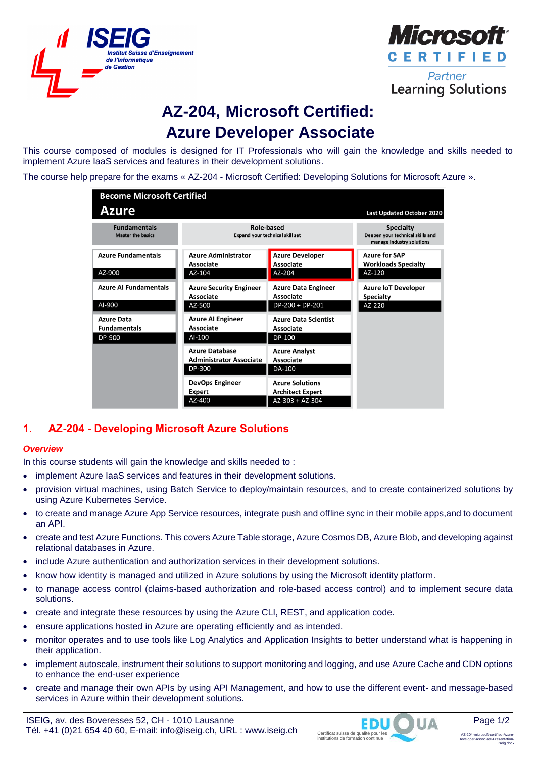



**Learning Solutions** 

# **AZ-204, Microsoft Certified: Azure Developer Associate**

This course composed of modules is designed for IT Professionals who will gain the knowledge and skills needed to implement Azure IaaS services and features in their development solutions.

The course help prepare for the exams « AZ-204 - Microsoft Certified: Developing Solutions for Microsoft Azure ».

| <b>Become Microsoft Certified</b>                  |                                                                   |                                                                        |                                                                                   |  |  |  |  |
|----------------------------------------------------|-------------------------------------------------------------------|------------------------------------------------------------------------|-----------------------------------------------------------------------------------|--|--|--|--|
| <b>Azure</b>                                       |                                                                   |                                                                        | Last Updated October 2020                                                         |  |  |  |  |
| <b>Fundamentals</b><br><b>Master the basics</b>    | Role-based<br><b>Expand your technical skill set</b>              |                                                                        | <b>Specialty</b><br>Deepen your technical skills and<br>manage industry solutions |  |  |  |  |
| <b>Azure Fundamentals</b><br>AZ-900                | <b>Azure Administrator</b><br>Associate<br>AZ-104                 | <b>Azure Developer</b><br>Associate<br>AZ-204                          | <b>Azure for SAP</b><br><b>Workloads Specialty</b><br>AZ-120                      |  |  |  |  |
| <b>Azure AI Fundamentals</b><br>AI-900             | <b>Azure Security Engineer</b><br>Associate<br>AZ-500             | <b>Azure Data Engineer</b><br>Associate<br>DP-200 + DP-201             | <b>Azure IoT Developer</b><br><b>Specialty</b><br>AZ-220                          |  |  |  |  |
| <b>Azure Data</b><br><b>Fundamentals</b><br>DP-900 | <b>Azure AI Engineer</b><br>Associate<br>AI-100                   | <b>Azure Data Scientist</b><br>Associate<br><b>DP-100</b>              |                                                                                   |  |  |  |  |
|                                                    | <b>Azure Database</b><br><b>Administrator Associate</b><br>DP-300 | <b>Azure Analyst</b><br><b>Associate</b><br>DA-100                     |                                                                                   |  |  |  |  |
|                                                    | <b>DevOps Engineer</b><br><b>Expert</b><br>AZ-400                 | <b>Azure Solutions</b><br><b>Architect Expert</b><br>$AZ-303 + AZ-304$ |                                                                                   |  |  |  |  |

# **1. AZ-204 - Developing Microsoft Azure Solutions**

## *Overview*

In this course students will gain the knowledge and skills needed to :

- implement Azure IaaS services and features in their development solutions.
- provision virtual machines, using Batch Service to deploy/maintain resources, and to create containerized solutions by using Azure Kubernetes Service.
- to create and manage Azure App Service resources, integrate push and offline sync in their mobile apps,and to document an API.
- create and test Azure Functions. This covers Azure Table storage, Azure Cosmos DB, Azure Blob, and developing against relational databases in Azure.
- include Azure authentication and authorization services in their development solutions.
- know how identity is managed and utilized in Azure solutions by using the Microsoft identity platform.
- to manage access control (claims-based authorization and role-based access control) and to implement secure data solutions.
- create and integrate these resources by using the Azure CLI, REST, and application code.
- ensure applications hosted in Azure are operating efficiently and as intended.
- monitor operates and to use tools like Log Analytics and Application Insights to better understand what is happening in their application.
- implement autoscale, instrument their solutions to support monitoring and logging, and use Azure Cache and CDN options to enhance the end-user experience
- create and manage their own APIs by using API Management, and how to use the different event- and message-based services in Azure within their development solutions.



Page 1/2